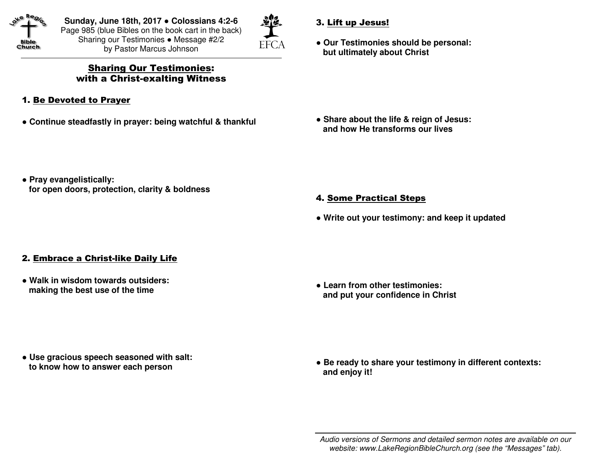

**Sunday, June 18th, 2017** ● **Colossians 4:2-6** Page 985 (blue Bibles on the book cart in the back)Sharing our Testimonies ● Message #2/2 by Pastor Marcus Johnson



## Sharing Our Testimonies: with a Christ-exalting Witness

- 1. Be Devoted to Prayer
- ● **Continue steadfastly in prayer: being watchful & thankful**
- 3. Lift up Jesus!
- ● **Our Testimonies should be personal: but ultimately about Christ**

● **Share about the life & reign of Jesus: and how He transforms our lives** 

● **Pray evangelistically: for open doors, protection, clarity & boldness** 

- 4. Some Practical Steps
- ● **Write out your testimony: and keep it updated**

## 2. Embrace a Christ-like Daily Life

● **Walk in wisdom towards outsiders: making the best use of the time** 

● **Learn from other testimonies: and put your confidence in Christ** 

● **Use gracious speech seasoned with salt: to know how to answer each person** 

● Be ready to share your testimony in different contexts:  **and enjoy it!** 

Audio versions of Sermons and detailed sermon notes are available on our website: www.LakeRegionBibleChurch.org (see the "Messages" tab).